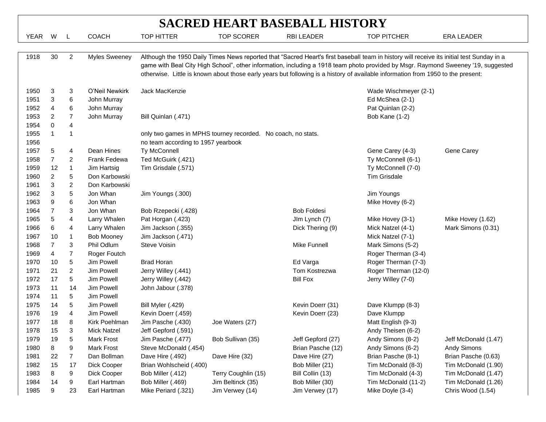| <b>SACRED HEART BASEBALL HISTORY</b> |    |                         |                      |                                                                                                                                                                                                                                                                                                                                                                                                                    |                                                              |                    |                       |                      |  |  |  |
|--------------------------------------|----|-------------------------|----------------------|--------------------------------------------------------------------------------------------------------------------------------------------------------------------------------------------------------------------------------------------------------------------------------------------------------------------------------------------------------------------------------------------------------------------|--------------------------------------------------------------|--------------------|-----------------------|----------------------|--|--|--|
| YEAR                                 | W  | $\mathsf{L}$            | <b>COACH</b>         | <b>TOP HITTER</b>                                                                                                                                                                                                                                                                                                                                                                                                  | <b>TOP SCORER</b>                                            | <b>RBI LEADER</b>  | <b>TOP PITCHER</b>    | ERA LEADER           |  |  |  |
|                                      |    |                         |                      |                                                                                                                                                                                                                                                                                                                                                                                                                    |                                                              |                    |                       |                      |  |  |  |
| 1918                                 | 30 | 2                       | <b>Myles Sweeney</b> | Although the 1950 Daily Times News reported that "Sacred Heart's first baseball team in history will receive its initial test Sunday in a<br>game with Beal City High School", other information, including a 1918 team photo provided by Msgr. Raymond Sweeney '19, suggested<br>otherwise. Little is known about those early years but following is a history of available information from 1950 to the present: |                                                              |                    |                       |                      |  |  |  |
| 1950                                 | 3  | 3                       | O'Neil Newkirk       | Jack MacKenzie                                                                                                                                                                                                                                                                                                                                                                                                     |                                                              |                    | Wade Wischmeyer (2-1) |                      |  |  |  |
| 1951                                 | 3  | 6                       | John Murray          |                                                                                                                                                                                                                                                                                                                                                                                                                    |                                                              |                    | Ed McShea (2-1)       |                      |  |  |  |
| 1952                                 | 4  | 6                       | John Murray          |                                                                                                                                                                                                                                                                                                                                                                                                                    |                                                              |                    | Pat Quinlan (2-2)     |                      |  |  |  |
| 1953                                 | 2  | $\overline{7}$          | John Murray          | Bill Quinlan (.471)                                                                                                                                                                                                                                                                                                                                                                                                |                                                              |                    | Bob Kane (1-2)        |                      |  |  |  |
| 1954                                 | 0  | 4                       |                      |                                                                                                                                                                                                                                                                                                                                                                                                                    |                                                              |                    |                       |                      |  |  |  |
| 1955                                 |    | 1                       |                      |                                                                                                                                                                                                                                                                                                                                                                                                                    | only two games in MPHS tourney recorded. No coach, no stats. |                    |                       |                      |  |  |  |
| 1956                                 |    |                         |                      | no team according to 1957 yearbook                                                                                                                                                                                                                                                                                                                                                                                 |                                                              |                    |                       |                      |  |  |  |
| 1957                                 | 5  | 4                       | Dean Hines           | Ty McConnell                                                                                                                                                                                                                                                                                                                                                                                                       |                                                              |                    | Gene Carey (4-3)      | Gene Carey           |  |  |  |
| 1958                                 | 7  | 2                       | Frank Fedewa         | Ted McGuirk (.421)                                                                                                                                                                                                                                                                                                                                                                                                 |                                                              |                    | Ty McConnell (6-1)    |                      |  |  |  |
| 1959                                 | 12 | $\mathbf{1}$            | Jim Hartsig          | Tim Grisdale (.571)                                                                                                                                                                                                                                                                                                                                                                                                |                                                              |                    | Ty McConnell (7-0)    |                      |  |  |  |
| 1960                                 | 2  | 5                       | Don Karbowski        |                                                                                                                                                                                                                                                                                                                                                                                                                    |                                                              |                    | <b>Tim Grisdale</b>   |                      |  |  |  |
| 1961                                 | 3  | $\overline{\mathbf{c}}$ | Don Karbowski        |                                                                                                                                                                                                                                                                                                                                                                                                                    |                                                              |                    |                       |                      |  |  |  |
| 1962                                 | 3  | 5                       | Jon Whan             | Jim Youngs (.300)                                                                                                                                                                                                                                                                                                                                                                                                  |                                                              |                    | Jim Youngs            |                      |  |  |  |
| 1963                                 | 9  | 6                       | Jon Whan             |                                                                                                                                                                                                                                                                                                                                                                                                                    |                                                              |                    | Mike Hovey (6-2)      |                      |  |  |  |
| 1964                                 | 7  | 3                       | Jon Whan             | Bob Rzepecki (.428)                                                                                                                                                                                                                                                                                                                                                                                                |                                                              | <b>Bob Foldesi</b> |                       |                      |  |  |  |
| 1965                                 | 5  | 4                       | Larry Whalen         | Pat Horgan (.423)                                                                                                                                                                                                                                                                                                                                                                                                  |                                                              | Jlm Lynch (7)      | Mike Hovey (3-1)      | Mike Hovey (1.62)    |  |  |  |
| 1966                                 | 6  | 4                       | Larry Whalen         | Jim Jackson (.355)                                                                                                                                                                                                                                                                                                                                                                                                 |                                                              | Dick Thering (9)   | Mick Natzel (4-1)     | Mark Simons (0.31)   |  |  |  |
| 1967                                 | 10 | 1                       | <b>Bob Mooney</b>    | Jim Jackson (.471)                                                                                                                                                                                                                                                                                                                                                                                                 |                                                              |                    | Mick Natzel (7-1)     |                      |  |  |  |
| 1968                                 | 7  | 3                       | Phil Odlum           | Steve Voisin                                                                                                                                                                                                                                                                                                                                                                                                       |                                                              | Mike Funnell       | Mark Simons (5-2)     |                      |  |  |  |
| 1969                                 | 4  | $\overline{7}$          | Roger Foutch         |                                                                                                                                                                                                                                                                                                                                                                                                                    |                                                              |                    | Roger Therman (3-4)   |                      |  |  |  |
| 1970                                 | 10 | 5                       | Jim Powell           | <b>Brad Horan</b>                                                                                                                                                                                                                                                                                                                                                                                                  |                                                              | Ed Varga           | Roger Therman (7-3)   |                      |  |  |  |
| 1971                                 | 21 | $\overline{\mathbf{c}}$ | Jim Powell           | Jerry Willey (.441)                                                                                                                                                                                                                                                                                                                                                                                                |                                                              | Tom Kostrezwa      | Roger Therman (12-0)  |                      |  |  |  |
| 1972                                 | 17 | 5                       | Jim Powell           | Jerry Willey (.442)                                                                                                                                                                                                                                                                                                                                                                                                |                                                              | <b>Bill Fox</b>    | Jerry Willey (7-0)    |                      |  |  |  |
| 1973                                 | 11 | 14                      | Jim Powell           | John Jabour (.378)                                                                                                                                                                                                                                                                                                                                                                                                 |                                                              |                    |                       |                      |  |  |  |
| 1974                                 | 11 | 5                       | Jim Powell           |                                                                                                                                                                                                                                                                                                                                                                                                                    |                                                              |                    |                       |                      |  |  |  |
| 1975                                 | 14 | 5                       | Jim Powell           | Bill Myler (.429)                                                                                                                                                                                                                                                                                                                                                                                                  |                                                              | Kevin Doerr (31)   | Dave Klumpp (8-3)     |                      |  |  |  |
| 1976                                 | 19 | 4                       | Jim Powell           | Kevin Doerr (.459)                                                                                                                                                                                                                                                                                                                                                                                                 |                                                              | Kevin Doerr (23)   | Dave Klumpp           |                      |  |  |  |
| 1977                                 | 18 | 8                       | Kirk Poehlman        | Jim Pasche (.430)                                                                                                                                                                                                                                                                                                                                                                                                  | Joe Waters (27)                                              |                    | Matt English (9-3)    |                      |  |  |  |
| 1978                                 | 15 | 3                       | Mick Natzel          | Jeff Gepford (.591)                                                                                                                                                                                                                                                                                                                                                                                                |                                                              |                    | Andy Theisen (6-2)    |                      |  |  |  |
| 1979                                 | 19 | 5                       | <b>Mark Frost</b>    | Jim Pasche (.477)                                                                                                                                                                                                                                                                                                                                                                                                  | Bob Sullivan (35)                                            | Jeff Gepford (27)  | Andy Simons (8-2)     | Jeff McDonald (1.47) |  |  |  |
| 1980                                 | 8  | 9                       | <b>Mark Frost</b>    | Steve McDonald (.454)                                                                                                                                                                                                                                                                                                                                                                                              |                                                              | Brian Pasche (12)  | Andy Simons (6-2)     | Andy Simons          |  |  |  |
| 1981                                 | 22 | 7                       | Dan Bollman          | Dave Hire (.492)                                                                                                                                                                                                                                                                                                                                                                                                   | Dave Hire (32)                                               | Dave Hire (27)     | Brian Pasche (8-1)    | Brian Pasche (0.63)  |  |  |  |
| 1982                                 | 15 | 17                      | Dick Cooper          | Brian Wohlscheid (.400)                                                                                                                                                                                                                                                                                                                                                                                            |                                                              | Bob Miller (21)    | Tim McDonald (8-3)    | Tim McDonald (1.90)  |  |  |  |
| 1983                                 | 8  | 9                       | Dick Cooper          | Bob Miller (.412)                                                                                                                                                                                                                                                                                                                                                                                                  | Terry Coughlin (15)                                          | Bill Collin (13)   | Tim McDonald (4-3)    | Tim McDonald (1.47)  |  |  |  |
| 1984                                 | 14 | 9                       | Earl Hartman         | Bob Miller (.469)                                                                                                                                                                                                                                                                                                                                                                                                  | Jim Beltinck (35)                                            | Bob Miller (30)    | Tim McDonald (11-2)   | Tim McDonald (1.26)  |  |  |  |
| 1985                                 | 9  | 23                      | Earl Hartman         | Mike Periard (.321)                                                                                                                                                                                                                                                                                                                                                                                                | Jim Verwey (14)                                              | Jim Verwey (17)    | Mike Doyle (3-4)      | Chris Wood (1.54)    |  |  |  |